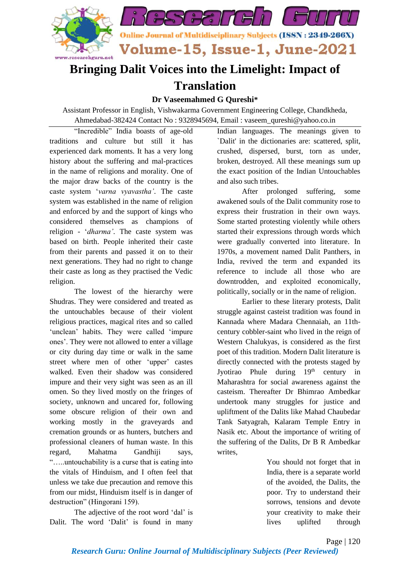

## **Bringing Dalit Voices into the Limelight: Impact of Translation**

## **Dr Vaseemahmed G Qureshi\***

Assistant Professor in English, Vishwakarma Government Engineering College, Chandkheda, Ahmedabad-382424 Contact No : 9328945694, Email : vaseem\_qureshi@yahoo.co.in

"Incredible" India boasts of age-old traditions and culture but still it has experienced dark moments. It has a very long history about the suffering and mal-practices in the name of religions and morality. One of the major draw backs of the country is the caste system '*varna vyavastha'*. The caste system was established in the name of religion and enforced by and the support of kings who considered themselves as champions of religion - '*dharma'*. The caste system was based on birth. People inherited their caste from their parents and passed it on to their next generations. They had no right to change their caste as long as they practised the Vedic religion.

The lowest of the hierarchy were Shudras. They were considered and treated as the untouchables because of their violent religious practices, magical rites and so called 'unclean' habits. They were called 'impure ones'. They were not allowed to enter a village or city during day time or walk in the same street where men of other 'upper' castes walked. Even their shadow was considered impure and their very sight was seen as an ill omen. So they lived mostly on the fringes of society, unknown and uncared for, following some obscure religion of their own and working mostly in the graveyards and cremation grounds or as hunters, butchers and professional cleaners of human waste. In this regard, Mahatma Gandhiji says, "…..untouchability is a curse that is eating into the vitals of Hinduism, and I often feel that unless we take due precaution and remove this from our midst, Hinduism itself is in danger of destruction" (Hingorani 159).

The adjective of the root word 'dal' is Dalit. The word 'Dalit' is found in many

Indian languages. The meanings given to `Dalit' in the dictionaries are: scattered, split, crushed, dispersed, burst, torn as under, broken, destroyed. All these meanings sum up the exact position of the Indian Untouchables and also such tribes.

After prolonged suffering, some awakened souls of the Dalit community rose to express their frustration in their own ways. Some started protesting violently while others started their expressions through words which were gradually converted into literature. In 1970s, a movement named Dalit Panthers, in India, revived the term and expanded its reference to include all those who are downtrodden, and exploited economically, politically, socially or in the name of religion.

Earlier to these literary protests, Dalit struggle against casteist tradition was found in Kannada where Madara Chennaiah, an 11thcentury cobbler-saint who lived in the reign of [Western Chalukyas,](http://en.wikipedia.org/wiki/Western_Chalukyas) is considered as the first poet of this tradition. Modern Dalit literature is directly connected with the protests staged by Jyotirao Phule during  $19<sup>th</sup>$  century in Maharashtra for social awareness against the casteism. Thereafter Dr Bhimrao Ambedkar undertook many struggles for justice and upliftment of the Dalits like Mahad Chaubedar Tank Satyagrah, Kalaram Temple Entry in Nasik etc. About the importance of writing of the suffering of the Dalits, Dr B R Ambedkar writes,

> You should not forget that in India, there is a separate world of the avoided, the Dalits, the poor. Try to understand their sorrows, tensions and devote your creativity to make their lives uplifted through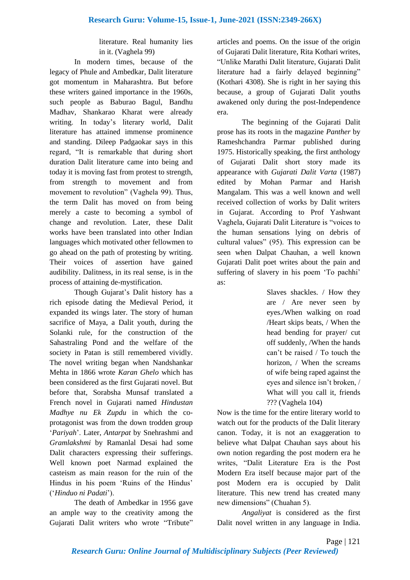## literature. Real humanity lies in it. (Vaghela 99)

In modern times, because of the legacy of Phule and Ambedkar, Dalit literature got momentum in Maharashtra. But before these writers gained importance in the 1960s, such people as Baburao Bagul, Bandhu Madhav, Shankarao Kharat were already writing. In today's literary world, Dalit literature has attained immense prominence and standing. Dileep Padgaokar says in this regard, "It is remarkable that during short duration Dalit literature came into being and today it is moving fast from protest to strength, from strength to movement and from movement to revolution" (Vaghela 99). Thus, the term Dalit has moved on from being merely a caste to becoming a symbol of change and revolution. Later, these Dalit works have been translated into other Indian languages which motivated other fellowmen to go ahead on the path of protesting by writing. Their voices of assertion have gained audibility. Dalitness, in its real sense, is in the process of attaining de-mystification.

Though Gujarat's Dalit history has a rich episode dating the Medieval Period, it expanded its wings later. The story of human sacrifice of Maya, a Dalit youth, during the Solanki rule, for the construction of the Sahastraling Pond and the welfare of the society in Patan is still remembered vividly. The novel writing began when Nandshankar Mehta in 1866 wrote *Karan Ghelo* which has been considered as the first Gujarati novel. But before that, Sorabsha Munsaf translated a French novel in Gujarati named *Hindustan Madhye nu Ek Zupdu* in which the coprotagonist was from the down trodden group '*Pariyah*'. Later, *Antarpat* by Snehrashmi and *Gramlakshmi* by Ramanlal Desai had some Dalit characters expressing their sufferings. Well known poet Narmad explained the casteism as main reason for the ruin of the Hindus in his poem 'Ruins of the Hindus' ('*Hinduo ni Padati*').

The death of Ambedkar in 1956 gave an ample way to the creativity among the Gujarati Dalit writers who wrote "Tribute"

articles and poems. On the issue of the origin of Gujarati Dalit literature, Rita Kothari writes, "Unlike Marathi Dalit literature, Gujarati Dalit literature had a fairly delayed beginning" (Kothari 4308). She is right in her saying this because, a group of Gujarati Dalit youths awakened only during the post-Independence era.

The beginning of the Gujarati Dalit prose has its roots in the magazine *Panther* by Rameshchandra Parmar published during 1975. Historically speaking, the first anthology of Gujarati Dalit short story made its appearance with *Gujarati Dalit Varta* (1987) edited by Mohan Parmar and Harish Mangalam. This was a well known and well received collection of works by Dalit writers in Gujarat. According to Prof Yashwant Vaghela, Gujarati Dalit Literature is "voices to the human sensations lying on debris of cultural values" (95). This expression can be seen when Dalpat Chauhan, a well known Gujarati Dalit poet writes about the pain and suffering of slavery in his poem 'To pachhi' as:

> Slaves shackles. / How they are / Are never seen by eyes./When walking on road /Heart skips beats, / When the head bending for prayer/ cut off suddenly, /When the hands can't be raised / To touch the horizon, / When the screams of wife being raped against the eyes and silence isn't broken, / What will you call it, friends ??? (Vaghela 104)

Now is the time for the entire literary world to watch out for the products of the Dalit literary canon. Today, it is not an exaggeration to believe what Dalpat Chauhan says about his own notion regarding the post modern era he writes, "Dalit Literature Era is the Post Modern Era itself because major part of the post Modern era is occupied by Dalit literature. This new trend has created many new dimensions" (Chuahan 5).

*Angaliyat* is considered as the first Dalit novel written in any language in India.